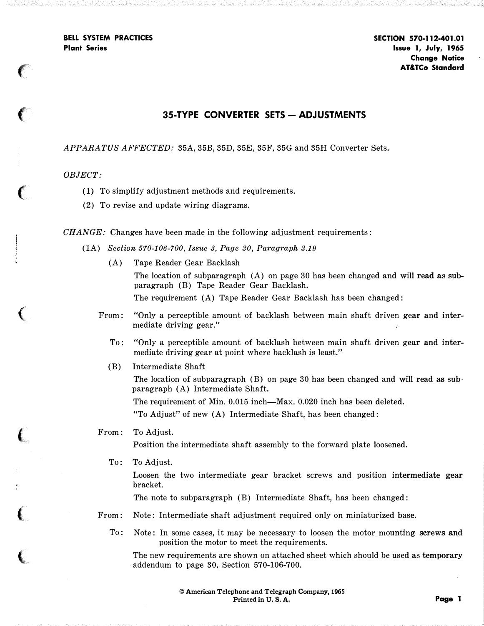BELL SYSTEM PRACTICES Plant Series

SECTION 570-112-401.01 Issue 1, July, 1965 Change Notice AT&TCo Standard

# 35-TYPE CONVERTER SETS- ADJUSTMENTS

APPARATUS AFFECTED: 35A, 35B, 35D, 35E, 35F, 35G and 35H Converter Sets.

OBJECT:

 $\mathcal{L}^{\text{c}}$ 

(

 $\epsilon$ 

 $\big($ 

,

 $\big($ 

 $\left($ 

- (1) To simplify adjustment methods and requirements.
- (2) To revise and update wiring diagrams.

 $CHANGE$ : Changes have been made in the following adjustment requirements:

- (lA) Section 570-106-700, Issue 3, Page 30, Paragraph 3.19
	- (A) Tape Reader Gear Backlash

The location of subparagraph (A) on page 30 has been changed and will read as subparagraph (B) Tape Reader Gear Backlash.

The requirement (A) Tape Reader Gear Backlash has been changed:

- From: "Only a perceptible amount of backlash between main shaft driven gear and intermediate driving gear."
	- To: "Only a perceptible amount of backlash between main shaft driven gear and intermediate driving gear at point where backlash is least."
	- (B) Intermediate Shaft

The location of subparagraph (B) on page 30 has been changed and will read as subparagraph (A) Intermediate Shaft.

The requirement of Min. 0.015 inch—Max. 0.020 inch has been deleted.

"To Adjust" of new (A) Intermediate Shaft, has been changed:

From: To Adjust.

Position the intermediate shaft assembly to the forward plate loosened.

To: To Adjust.

Loosen the two intermediate gear bracket screws and position intermediate gear bracket.

The note to subparagraph (B) Intermediate Shaft, has been changed:

- From: Note: Intermediate shaft adjustment required only on miniaturized base.
	- To: Note: In some cases, it may be necessary to loosen the motor mounting screws and position the motor to meet the requirements.

The new requirements are shown on attached sheet which should be used as temporary addendum to page 30, Section 570-106-700.

> ©American Telephone and Telegraph Company, 1965 Printed in U.S.A. Page 1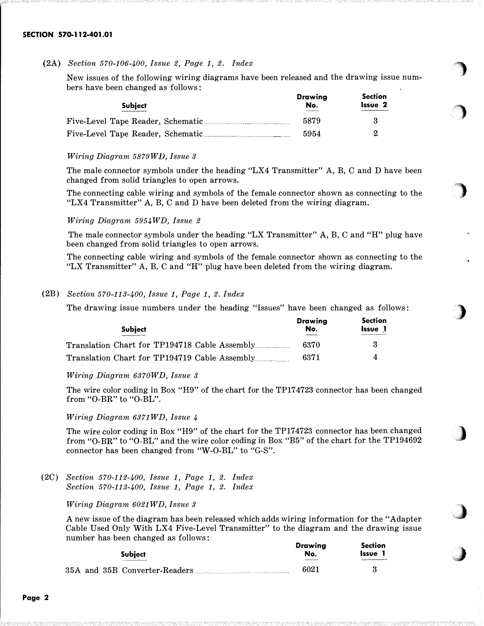(2A) Section 570-106-400, Issue 2, Page 1, 2. Index

New issues of the following wiring diagrams have been released and the drawing issue numbers have been changed as follows:

'')

'"')

)

)

 $\blacksquare$ **" John Barnes** 

.)

| <b>Subject</b>                     | <b>Drawina</b><br>No. | <b>Section</b><br><b>Issue 2</b> |
|------------------------------------|-----------------------|----------------------------------|
| Five-Level Tape Reader, Schematic. | 5879                  |                                  |
| Five-Level Tape Reader, Schematic  | 5954                  |                                  |

## Wiring Diagram 5879WD, Issue 3

The male connector symbols under the heading "LX4 Transmitter" A, B, C and D have been changed from solid triangles to open arrows.

The connecting cable wiring and symbols of the female connector shown as connecting to the "LX4 Transmitter" A, B, C and D have been deleted from the wiring diagram.

## Wiring Diagram 5954WD, Issue 2

The male connector symbols under the heading "LX Transmitter" A, B, C and "H" plug have been changed from solid triangles to open arrows.

The connecting cable wiring and symbols of the female connector shown as connecting to the "LX Transmitter" A, B, C and "H" plug have been deleted from the wiring diagram.

## (2B) Section 570-113-400, Issue 1, Page 1, 2. Index

The drawing issue numbers under the heading "Issues" have been changed as follows:

| <b>Subject</b>                                | <b>Drawing</b><br>No. | <b>Section</b><br><b>Issue</b> 1 |
|-----------------------------------------------|-----------------------|----------------------------------|
| Translation Chart for TP194718 Cable Assembly | 6370                  | з                                |
| Translation Chart for TP194719 Cable Assembly | 6371                  |                                  |

Wiring Diagram 6370WD, Issue 3

The wire color coding in Box "H9" of the chart for the TP174723 connector has been changed from "0-BR" to "0-BL".

#### Wiring Diagram 6371WD, Issue 4

The wire color coding in Box "H9" of the chart for the TP174723 connector has been changed<br>from "O-BR" to "O-BL" and the wire color coding in Box "B5" of the chart for the TP194692 connector has been changed from "W-0-BL" to "G-S".

(2C) Section 570-112-400, Issue 1, Page 1, 2. Index Section 570-113-400, Issue 1, Page 1, 2. Index

## Wiring Diagram 6021WD, Issue 3

A new issue of the diagram has been released which adds wiring information for the "Adapter Cable Used Only With LX4 Five-Level Transmitter" to the diagram and the drawing issue number has been changed as follows:

| <b>Subject</b> |                               | Drawina<br>No.<br><b><i><u>STANDARD COMPANY COMPANY</u></i></b> | <b>Section</b><br>Issue 1 |
|----------------|-------------------------------|-----------------------------------------------------------------|---------------------------|
|                | 35A and 35B Converter-Readers | 6021                                                            |                           |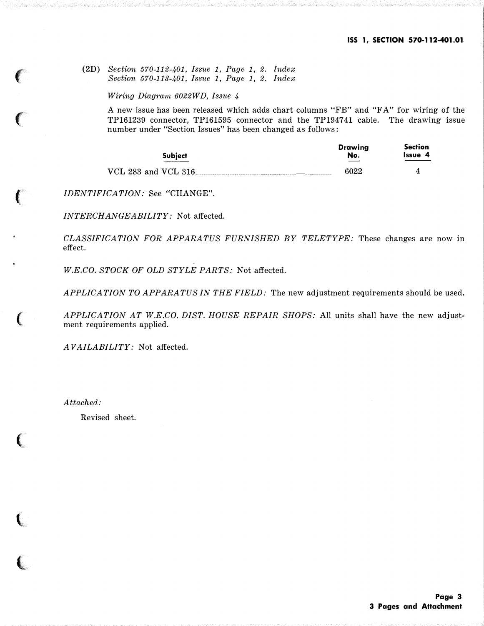## (2D) Section 570-112-401, Issue 1, Page 1, 2. lndex Section 570-113-401, Issue 1, Page 1, 2. Index

Wiring Diagram 6022WD, Issue 4

A new issue has been released which adds chart columns "FB" and "FA" for wiring of the TP161239 connector, TP161595 connector and the TP194741 cable. The drawing issue number under "Section Issues" has been changed as follows:

| Subject              | <b>Drawing</b> | <b>Section</b> |  |
|----------------------|----------------|----------------|--|
|                      | No.            | Issue 4        |  |
| VCL 283 and VCL 316. | 6022           |                |  |

IDENTIFICATION: See "CHANGE".

INTERCHANGEABILITY: Not affected.

CLASSIFICATION FOR APPARATUS FURNISHED BY TELETYPE: These changes are now in effect.

W.E.CO. STOCK OF OLD STYLE PARTS: Not affected.

APPLICATION TO APPARATUS IN THE FIELD: The new adjustment requirements should be used.

APPLICATION AT W.E.CO. DIST. HOUSE REPAIR SHOPS: All units shall have the new adjustment requirements applied.

AVAILABILITY: Not affected.

Attached:

 $\big($ 

 $\big($ 

 $\left($ 

 $\big($ 

 $\big($ 

t

 $\left($ 

Revised sheet.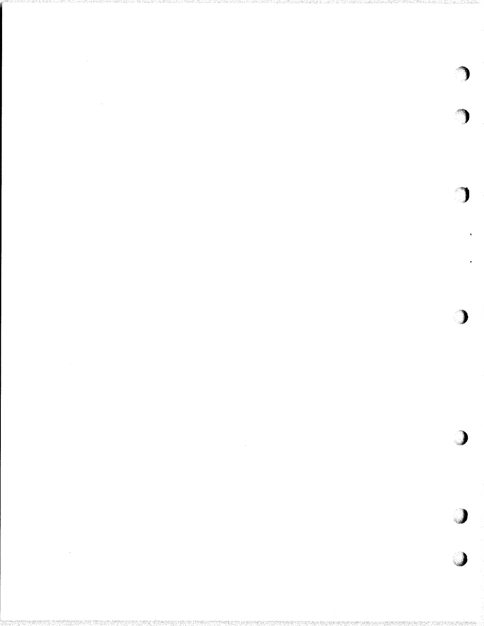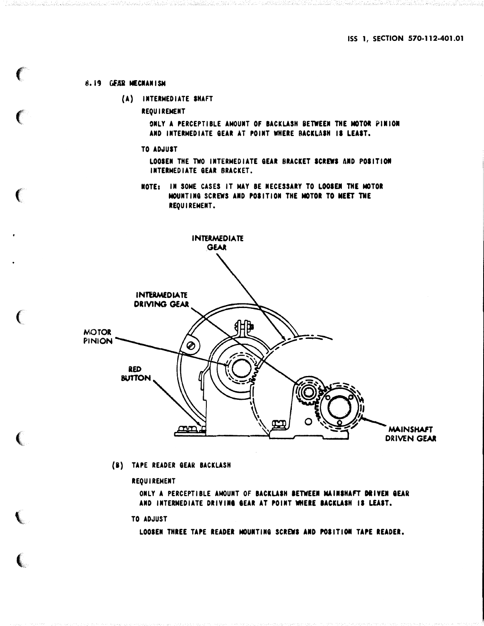# 6.19 GEAI NECIANISN

- (A) INTERMEDIATE SHAFT
	- REQUIREMENT

ONLY A PERCEPTIBLE AMOUNT OF BACKLASH BETWEEN THE MOTOR PINION AND INTERMEDIATE GEAR AT POINT WHERE BACKLASH IS LEAST.

TO AD�UST

LOOSEN THE TWO INTERMEDIATE GEAR BRACKET SCREWS AID POSITIOM INTERMEDIATE GEAR BRACKET.

MOTE: IN SOME CASES IT NAY BE NECESSARY TO LOOSEN THE MOTOR MOUNTING SCREWS AID POSITION THE MOTOR TO MEET THE REQUIREMENT.



(B) TAPE READER GEAR BACKLASH

## REQUIREMENT

ONLY A PERCEPTIBLE AMOUNT OF BACKLASH BETWEEN MAINSHAFT DRIVEN GEAR AND INTERMEDIATE DRIVING GEAR AT POINT WHERE BACKLASH IS LEAST.

TO ADJUST

LOOSEN THREE TAPE READER MOUNTING SCREWS AND POSITION TAPE READER.